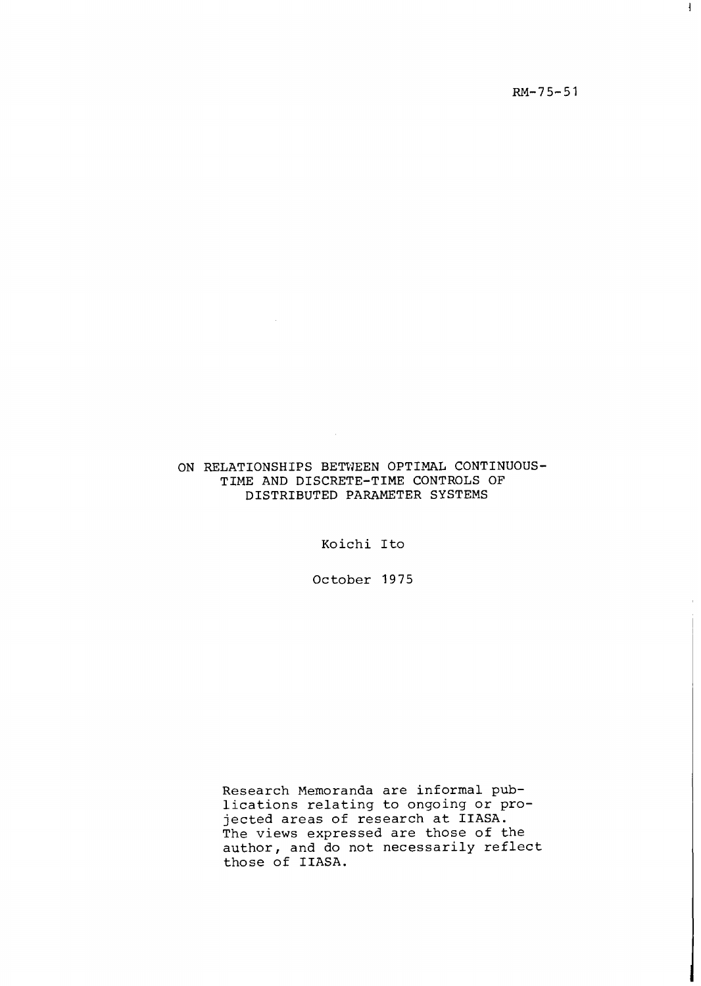$RM-75-51$ 

 $\mathbf{I}$ 

### ON RELATIONSHIPS BETWEEN OPTIMAL CONTINUOUS-TIME AND DISCRETE-TIME CONTROLS OF DISTRIBUTED PARAMETER SYSTEMS

Koichi Ito

October 1975

Research Memoranda are informal publications relating to ongoing or projected areas of research at IIASA. The views expressed are those of the author, and do not necessarily reflect those of IIASA.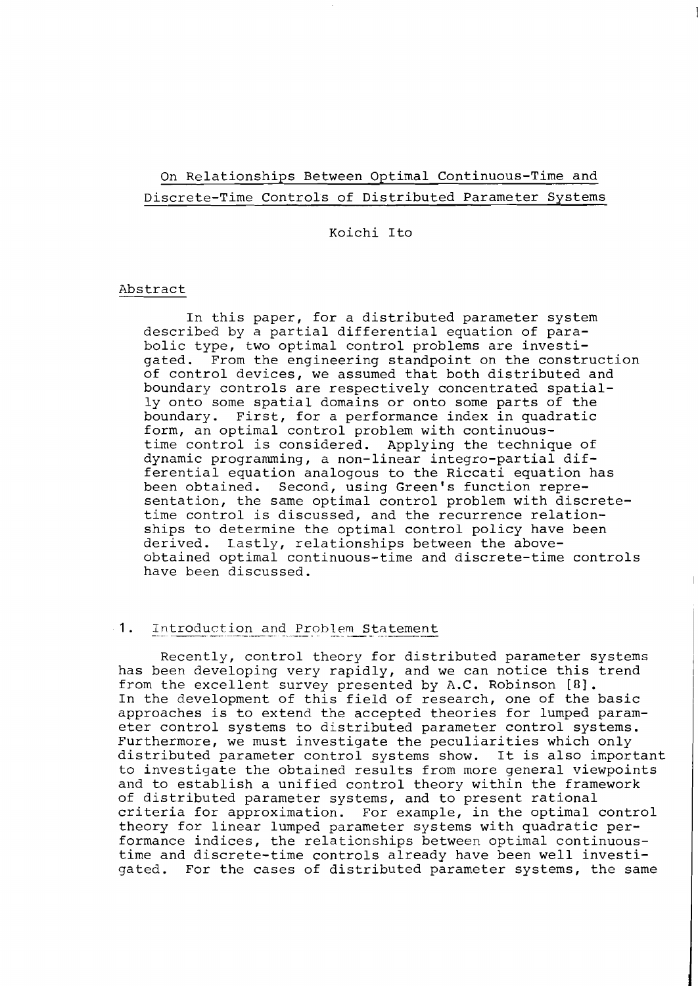# On Relationships Between Optimal Continuous-Time and Discrete-Time Controls of Distributed Parameter Systems

#### Koichi Ito

#### Abstract

In this paper, for a distributed parameter system described by a partial differential equation of parabolic type, two optimal control problems are investigated. From the engineering standpoint on the construction of control devices, we assumed that both distributed and boundary controls are respectively concentrated spatially onto some spatial domains or onto some parts of the boundary. First, for a performance index in quadratic First, for a performance index in quadratic form, an optimal control problem with continuoustime control is considered. Applying the technique of dynamic programming, a non-linear integro-partial differential equation analogous to the Riccati equation has<br>been obtained. Second, using Green's function repre-Second, using Green's function representation, the same optimal control problem with discretetime control is discussed, and the recurrence relationships to determine the optimal control policy have been<br>derived. Lastly, relationships between the above-Lastly, relationships between the aboveobtained optimal continuous-time and discrete-time controls have been discussed.

# 1. Introduction and Problem Statement

Recently, control theory for distributed parameter systems has been developing very rapidly, and we can notice this trend from the excellent survey presented by A.C. Robinson [a]. In the development of this field of research, one of the basic approaches is to extend the accepted theories for lumped parameter control systems to distributed parameter control systems. Furthermore, we must investigate the peculiarities which only distributed parameter control systems show. It is also important to investigate the obtained results from more general viewpoints and to establish a unified control theory within the framework of distributed parameter systems, and to present rational criteria for approximation. For example, in the optimal control theory for linear lumped parameter systems with quadratic performance indices, the relationships between optimal continuoustime and discrete-time controls already have been well investigated. For the cases of distributed parameter systems, the same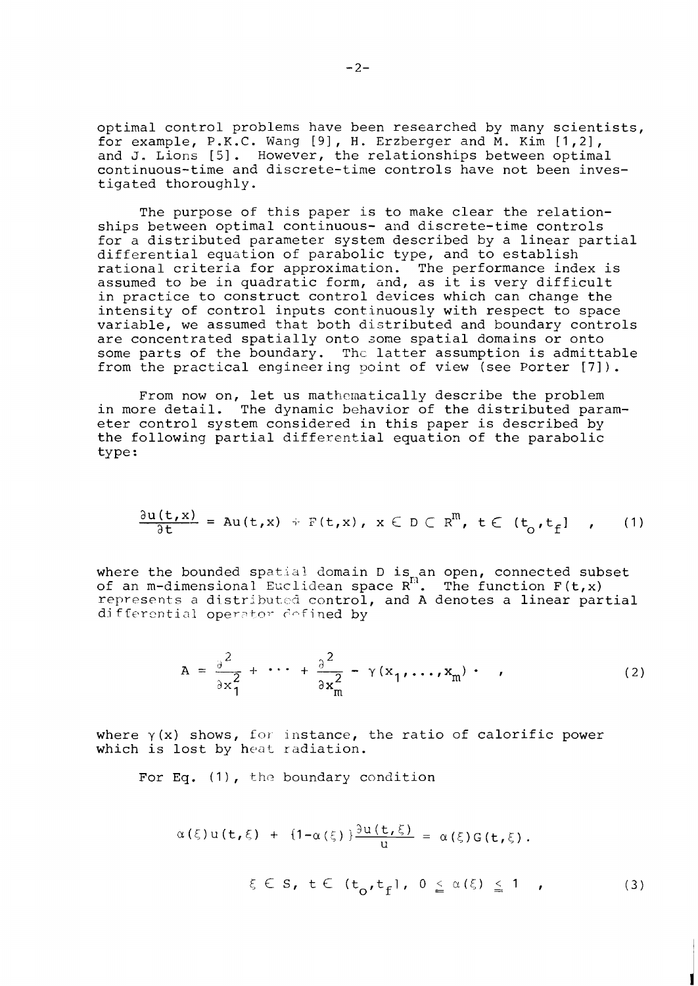optimal control problems have been researched by many scientists, for example, P.K.C. Wang [9], H. Erzberger and M. Kim [1,2], and **J.** Lions [51. However, the relationships between optimal continuous-time and discrete-time controls have not been investigated thoroughly.

The purpose of this paper is to make clear the relationships between optimal continuous- and discrete-time controls for a distributed parameter system described by a linear partial differential equation of parabolic type, and to establish rational criteria for approximation. The performance index is assumed to be in quadratic form, and, as it is very difficult in practice to construct control devices which can change the intensity of control inputs continuously with respect to space variable, we assumed that both distributed and boundary controls are concentrated spatially onto some spatial domains or onto some parts of the boundary. Thc latter assumption is admittable from the practical engineering point of view (see Porter [7]).

From now on, let us mathematically describe the problem in more detail. The dynamic behavior of the distributed parameter control system considered in this paper is described by the following partial differential equation of the parabolic type :

$$
\frac{\partial u(t,x)}{\partial t} = Au(t,x) + F(t,x), \quad x \in D \subset R^m, \quad t \in (t_o, t_f] \quad , \qquad (1)
$$

where the bounded spatial domain D is an open, connected subset of an m-dimensional Euclidean space  $R^{H}$ . The function  $F(t,x)$ represents a distributed control, and A denotes a linear partial differential operator defined by

$$
A = \frac{\partial^2}{\partial x_1^2} + \cdots + \frac{\partial^2}{\partial x_m^2} - \gamma(x_1, \dots, x_m) \qquad (2)
$$

where  $\gamma(x)$  shows, for instance, the ratio of calorific power which is lost by heat radiation.

For Eq.  $(1)$ , the boundary condition

$$
\alpha(\xi) u(t,\xi) + \{1 - \alpha(\xi)\} \frac{\partial u(t,\xi)}{u} = \alpha(\xi) G(t,\xi).
$$
  

$$
\xi \in S, t \in (t_0, t_f], 0 \leq \alpha(\xi) \leq 1,
$$
 (3)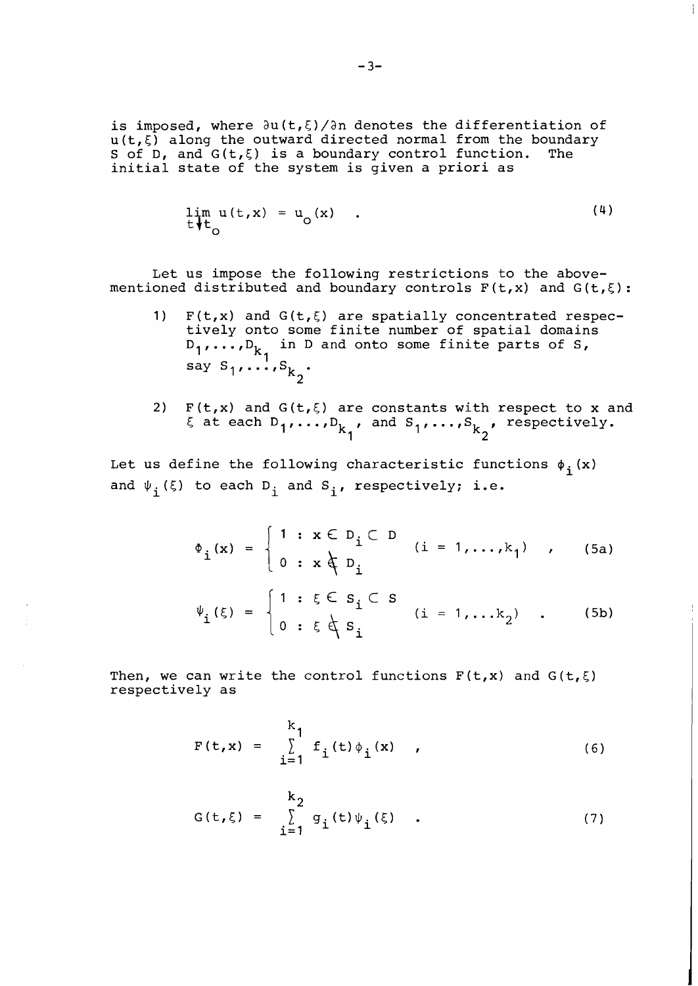is imposed, where  $\partial u(t,\xi)/\partial n$  denotes the differentiation of  $u(t,\xi)$  along the outward directed normal from the boundary S of D, and  $G(t,\xi)$  is a boundary control function. The initial state of the system is given a priori as

$$
\lim_{t \uparrow t_{\circ}} u(t, x) = u_{\circ}(x) \quad . \tag{4}
$$

 $\begin{array}{c} \hline \end{array}$ 

Let us impose the following restrictions to the abovementioned distributed and boundary controls  $F(t,x)$  and  $G(t,\xi)$ :

- 1)  $F(t,x)$  and  $G(t,\xi)$  are spatially concentrated respectively onto some finite number of spatial donains  $D_1$ ,...,  $D_k$  in D and onto some finite parts of S, say  $\texttt{S}_1, \ldots, \texttt{S}_k$  .
- 2) F(t,x) and G(t, $\xi$ ) are constants with respect to x and  $\xi$  at each  $D_1, ..., D_{k_1}$ , and  $S_1, ..., S_{k_2}$ , respectively.

Let us define the following characteristic functions  $\phi_i(x)$ and  $\psi_i(\xi)$  to each D<sub>i</sub> and S<sub>i</sub>, respectively; i.e.

$$
\Phi_{\mathbf{i}}(\mathbf{x}) = \begin{cases} 1 : \mathbf{x} \in D_{\mathbf{i}} \subset D \\ 0 : \mathbf{x} \notin D_{\mathbf{i}} \end{cases} \quad (i = 1, ..., k_{1}) \quad , \quad \text{(5a)}
$$
\n
$$
\Psi_{\mathbf{i}}(\xi) = \begin{cases} 1 : \xi \in S_{\mathbf{i}} \subset S \\ 0 : \xi \notin S_{\mathbf{i}} \end{cases} \quad (i = 1, ..., k_{2}) \quad . \quad \text{(5b)}
$$

Then, we can write the control functions  $F(t,x)$  and  $G(t,\xi)$ respectively as

$$
F(t,x) = \sum_{i=1}^{k_1} f_i(t) \phi_i(x), \qquad (6)
$$

$$
G(t,\xi) = \sum_{i=1}^{k_2} g_i(t) \psi_i(\xi) .
$$
 (7)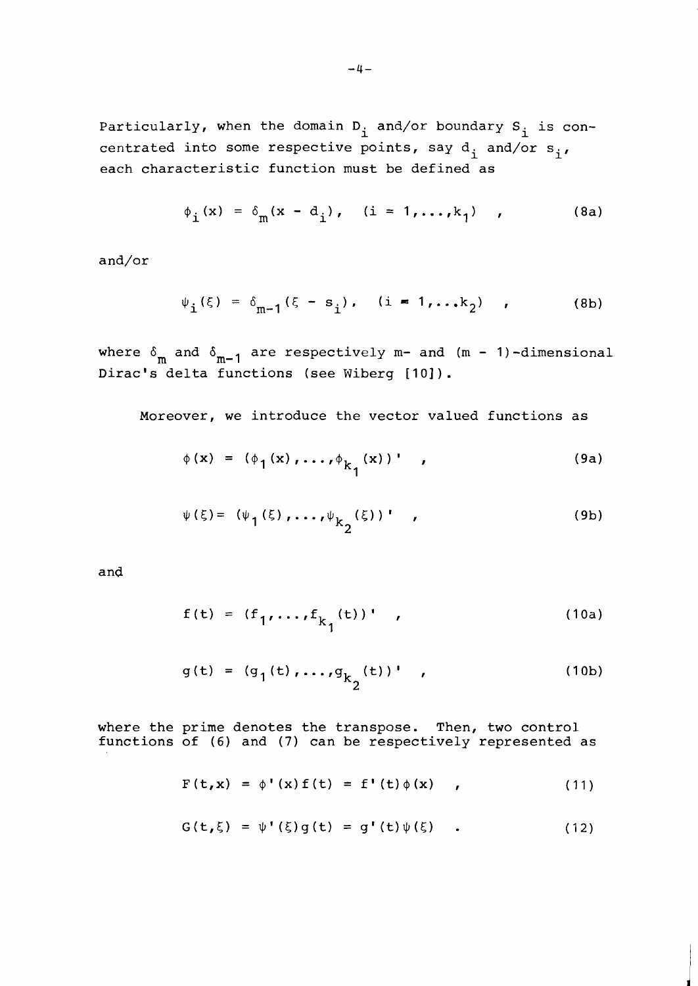Particularly, when the domain  $D_i$  and/or boundary  $S_i$  is concentrated into some respective points, say  $d_i$  and/or  $s_i$ , each characteristic function must be defined as

$$
\phi_{i}(x) = \delta_{m}(x - d_{i}), \quad (i = 1,...,k_{1}), \quad (8a)
$$

and/or

$$
\psi_{i}(\xi) = \delta_{m-1}(\xi - s_{i}), \quad (i = 1,...k_{2}) \quad , \tag{8b}
$$

where  $\delta_m$  and  $\delta_{m-1}$  are respectively m- and (m - 1)-dimensional Dirac's delta functions (see Wiberg [10]).

Moreover, we introduce the vector valued functions as

$$
\phi(\mathbf{x}) = (\phi_1(\mathbf{x}), \dots, \phi_{k_1}(\mathbf{x}))'
$$
 (9a)

$$
\psi(\xi) = (\psi_1(\xi), \dots, \psi_{k_2}(\xi))'
$$
 (9b)

and

$$
f(t) = (f_1, ..., f_{k_1}(t))'
$$
 (10a)

$$
g(t) = (g_1(t), ..., g_{k_2}(t))'
$$
 (10b)

where the prime denotes the transpose. Then, two control functions of (6) and (7) can be respectively represented as

$$
F(t,x) = \phi'(x) f(t) = f'(t) \phi(x) \qquad (11)
$$

$$
G(t,\xi) = \psi'(\xi)g(t) = g'(t)\psi(\xi) . \qquad (12)
$$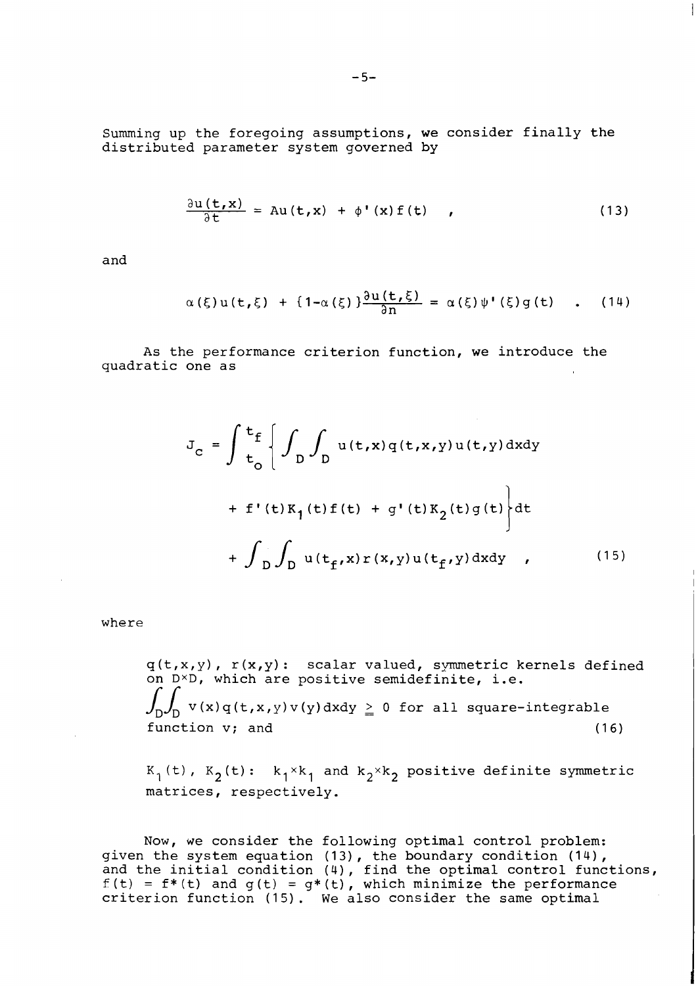Summing up the foregoing assumptions, we consider finally the distributed parameter system governed by

$$
\frac{\partial u(t,x)}{\partial t} = Au(t,x) + \phi'(x) f(t), \qquad (13)
$$

 $\mathbf{I}$ 

and

$$
\alpha(\xi)u(t,\xi) + \{1-\alpha(\xi)\}\frac{\partial u(t,\xi)}{\partial n} = \alpha(\xi)\psi'(\xi)g(t) \quad . \quad (14)
$$

As the performance criterion function, we introduce the quadratic one as

$$
J_{c} = \int \frac{t_{f}}{t_{0}} \left\{ \int_{D} \int_{D} u(t,x)q(t,x,y)u(t,y) dxdy + f'(t)K_{1}(t)f(t) + g'(t)K_{2}(t)g(t) \right\} dt + \int_{D} \int_{D} u(t_{f},x)r(x,y)u(t_{f},y) dxdy , \qquad (15)
$$

where

 $\mathbf{q}\left(\mathsf{t},\mathsf{x},\mathsf{y}\right)$ ,  $\mathsf{r}\left(\mathsf{x},\mathsf{y}\right)$ : scalar valued, symmetric kernels defined on  $D^{\times}D$ , which are positive semidefinite, i.e.  $\int_D \int_D v(x) q(t, x, y) v(y) dx dy \geq 0$  for all square-integrable function v; and (16)

 $K_1(t)$ ,  $K_2(t):$   $k_1 \times k_1$  and  $k_2 \times k_2$  positive definite symmetric matrices, respectively.

Now, we consider the following optimal control problem:<br>given the system equation (13), the boundary condition (14), and the initial condition (4), find the optimal control functions,  $f(t) = f^*(t)$  and  $g(t) = g^*(t)$ , which minimize the performance criterion function (15). We also consider the same optimal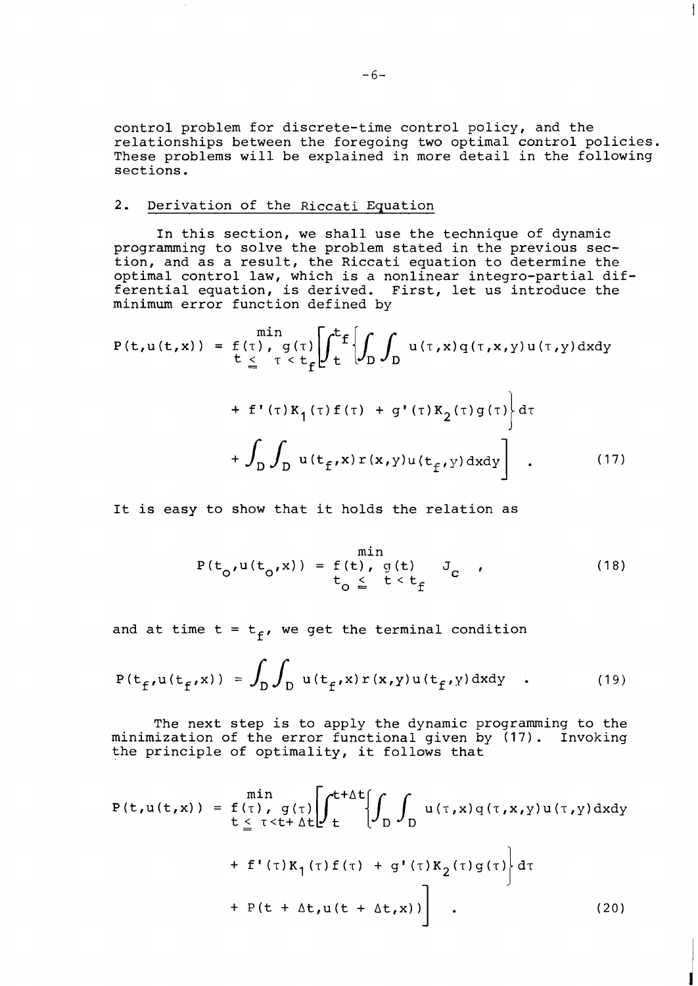control problem for discrete-time control policy, and the relationships between the foregoing two optimal control policies. These problems will be explained in more detail in the following sections.

#### 2. Derivation of the Riccati Equation

In this section, we shall use the technique of dynamic programming to solve the problem stated in the previous section, and as a result, the Riccati equation to determine the optimal control law, which is a nonlinear integro-partial differential equation, is derived. First, let us introduce the minimum error function defined by

$$
P(t, u(t, x)) = f(\tau), g(\tau) \left[ \int_{t}^{t} f\left\{ \int_{D} \int_{D} u(\tau, x) q(\tau, x, y) u(\tau, y) dxdy \right\} \right]
$$
  
+  $f'(\tau) K_{1}(\tau) f(\tau) + g'(\tau) K_{2}(\tau) g(\tau) \left\} d\tau$   
+  $\int_{D} \int_{D} u(t_{f'} x) r(x, y) u(t_{f'} y) dxdy \right]$ . (17)

It is easy to show that it holds the relation as

$$
P(t_0, u(t_0, x)) = f(t), g(t) J_c
$$
\n
$$
= f(t), g(t) J_c
$$
\n(18)

and at time  $t = t_f$ , we get the terminal condition

$$
P(t_f, u(t_f, x)) = \int_D \int_D u(t_f, x) r(x, y) u(t_f, y) dxdy
$$
 (19)

The next step is to apply the dynamic programming to the minimization of the error functional given by (17). Invoking the principle of optimality, it follows that

$$
P(t, u(t, x)) = f(\tau), g(\tau) \left[ \int_{t}^{t+\Delta t} \left\{ \int_{D} u(\tau, x) q(\tau, x, y) u(\tau, y) dxdy + f'(\tau) K_{1}(\tau) f(\tau) + g'(\tau) K_{2}(\tau) g(\tau) \right\} d\tau + P(t + \Delta t, u(t + \Delta t, x)) \right].
$$
\n(20)

 $\mathbf{I}$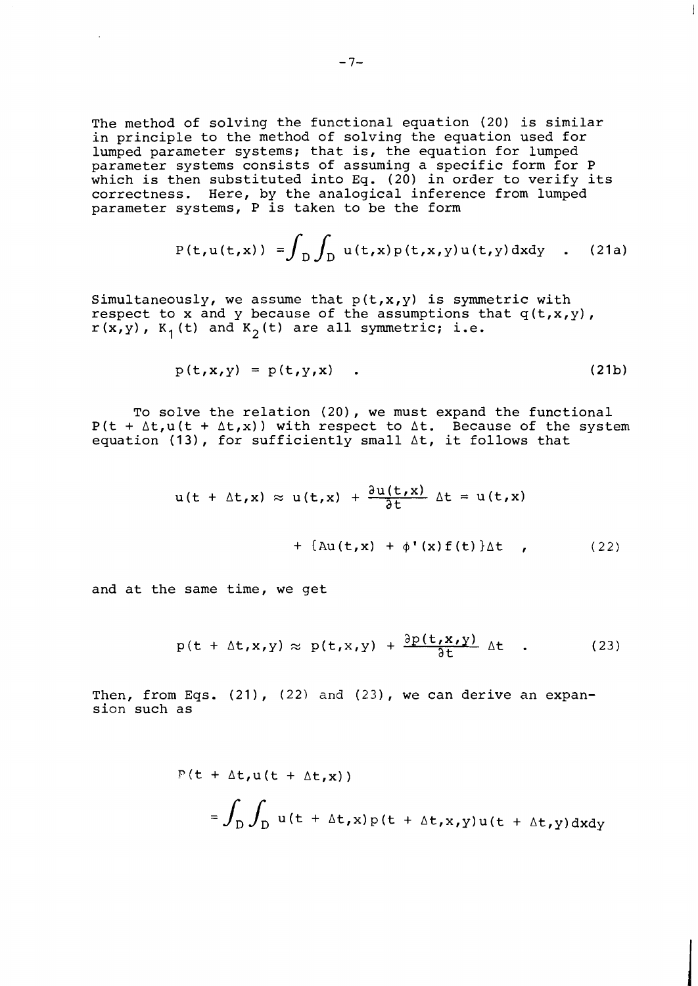The method of solving the functional equation (20) is similar in principle to the method of solving the equation used for lumped parameter systems; that is, the equation for lumped parameter systems consists of assuming a specific form for P which is then substituted into Eq. (20) in order to verify its correctness. Here, by the analogical inference from lumped parameter systems, P is taken to be the form

$$
P(t, u(t, x)) = \int_{D} \int_{D} u(t, x) p(t, x, y) u(t, y) dx dy
$$
 (21a)

Simultaneously, we assume that  $p(t,x,y)$  is symmetric with respect to x and y because of the assumptions that  $q(t,x,y)$ ,  $r(x, y)$ ,  $K_1(t)$  and  $K_2(t)$  are all symmetric; i.e.

$$
p(t, x, y) = p(t, y, x) \quad . \tag{21b}
$$

To solve the relation (20), we must expand the functional  $P(t + \Delta t, u(t + \Delta t, x))$  with respect to  $\Delta t$ . Because of the system equation (13), for sufficiently small  $\Delta t$ , it follows that

$$
u(t + \Delta t, x) \approx u(t, x) + \frac{\partial u(t, x)}{\partial t} \Delta t = u(t, x)
$$
  
+ 
$$
\{\Delta u(t, x) + \phi'(x) f(t)\} \Delta t
$$
 (22)

and at the same time, we get

$$
p(t + \Delta t, x, y) \approx p(t, x, y) + \frac{\partial p(t, x, y)}{\partial t} \Delta t
$$
 (23)

Then, from Eqs.  $(21)$ ,  $(22)$  and  $(23)$ , we can derive an expansion such as

$$
F(t + \Delta t, u(t + \Delta t, x))
$$
  
=  $\int_{D} \int_{D} u(t + \Delta t, x) p(t + \Delta t, x, y) u(t + \Delta t, y) dxdy$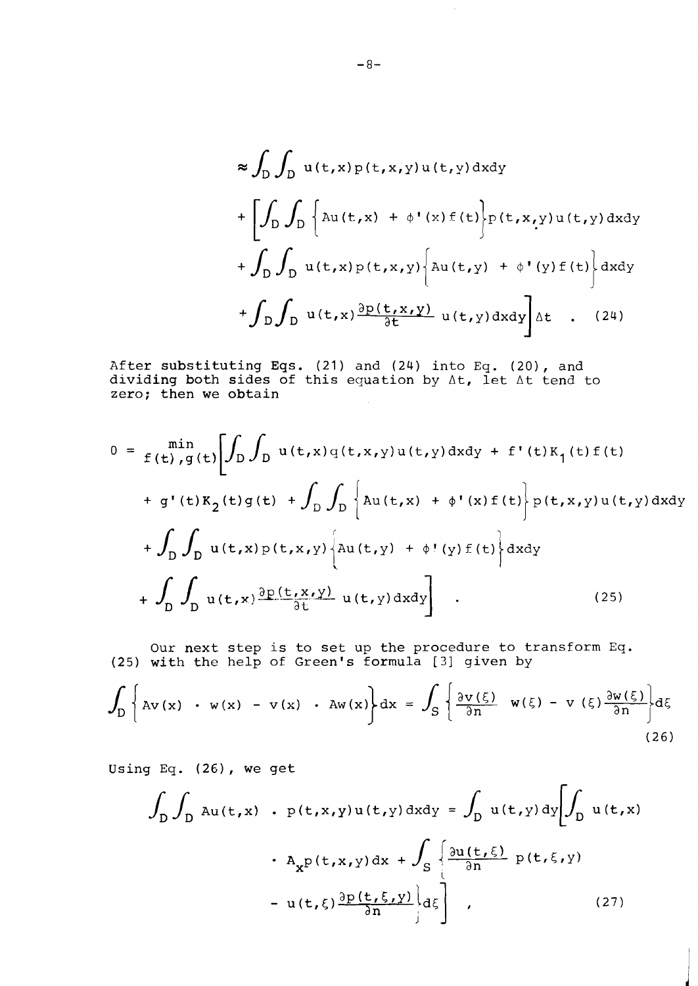$$
\approx \int_{D} \int_{D} u(t,x) p(t,x,y) u(t,y) dxdy
$$
  
+ 
$$
\left[ \int_{D} \int_{D} \left\{ Au(t,x) + \phi'(x) f(t) \right\} p(t,x,y) u(t,y) dxdy
$$
  
+ 
$$
\int_{D} \int_{D} u(t,x) p(t,x,y) \left\{ Au(t,y) + \phi'(y) f(t) \right\} dxdy
$$
  
+ 
$$
\int_{D} \int_{D} u(t,x) \frac{\partial p(t,x,y)}{\partial t} u(t,y) dxdy \right] \Delta t
$$
 (24)

After substituting Eqs. (21) and (24) into Eq. (20), and dividing both sides of this equation **by** At, let At tend to zero; then we obtain

$$
0 = \min_{f(t), g(t)} \left[ \int_D \int_D u(t, x) q(t, x, y) u(t, y) dx dy + f'(t) K_1(t) f(t) \right]
$$
  
+  $g'(t) K_2(t) g(t) + \int_D \int_D \left\{ Au(t, x) + \phi'(x) f(t) \right\} p(t, x, y) u(t, y) dx dy$   
+  $\int_D \int_D u(t, x) p(t, x, y) \left\{ Au(t, y) + \phi'(y) f(t) \right\} dxdy$   
+  $\int_D \int_D u(t, x) \frac{\partial p(t, x, y)}{\partial t} u(t, y) dx dy \right]$  (25)

Our next step is to set up the procedure to transform Eq. (25) with the help of Green's formula [?] given **by** 

$$
\int_{D} \left\{ Av(x) + w(x) - v(x) + Aw(x) \right\} dx = \int_{S} \left\{ \frac{\partial v(\xi)}{\partial n} w(\xi) - v(\xi) \frac{\partial w(\xi)}{\partial n} \right\} d\xi
$$
\n(26)

Using Eq.  $(26)$ , we get

$$
\int_{D} \int_{D} \text{Au}(t,x) \cdot p(t,x,y)u(t,y) \, dx dy = \int_{D} u(t,y) \, dy \left[ \int_{D} u(t,x) \cdot A_x p(t,x,y) \, dx + \int_{S} \left\{ \frac{\partial u(t,\xi)}{\partial n} p(t,\xi,y) \right\} \cdot A_x p(t,x,y) \, dx + \int_{S} \left\{ \frac{\partial u(t,\xi)}{\partial n} p(t,\xi,y) \right\} \cdot \right] \tag{27}
$$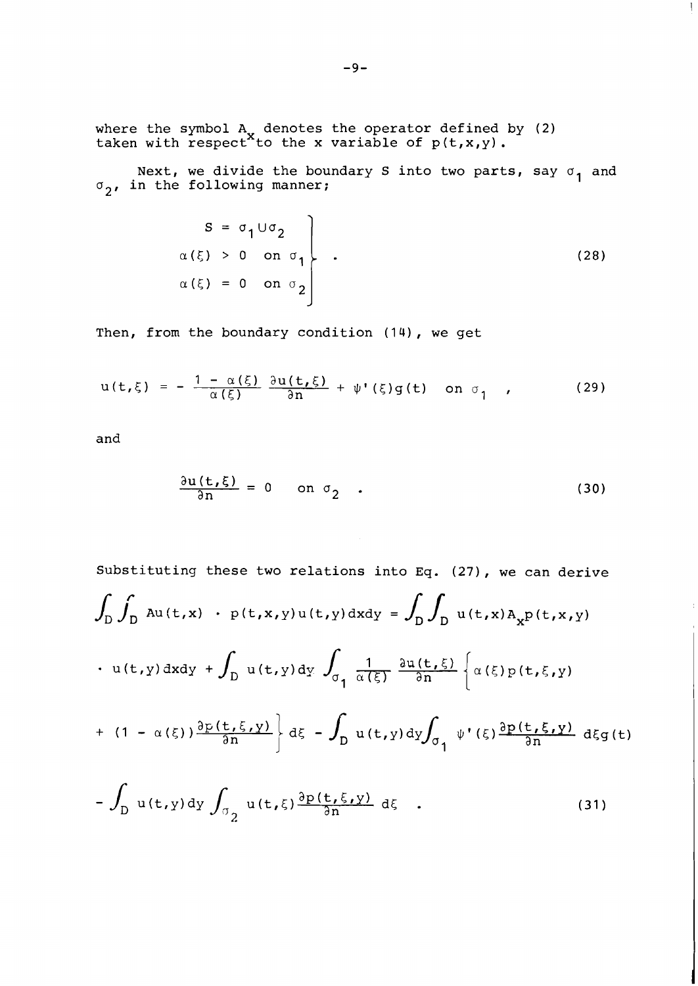where the symbol  $A_x$  denotes the operator defined by (2) taken with respect^to the x variable of  $p(t,x,y)$ .

Next, we divide the boundary S into two parts, say  $\sigma_{\bf 1}$  and  $\sigma$ <sub>2</sub>, in the following manner;

$$
S = \sigma_1 \cup \sigma_2
$$
  
\n
$$
\alpha(\xi) > 0 \text{ on } \sigma_1
$$
  
\n
$$
\alpha(\xi) = 0 \text{ on } \sigma_2
$$
\n(28)

Then, from the boundary condition  $(14)$ , we get

$$
u(t,\xi) = -\frac{1-\alpha(\xi)}{\alpha(\xi)} \frac{\partial u(t,\xi)}{\partial n} + \psi'(\xi)g(t) \quad \text{on } \sigma_1 \quad , \qquad (29)
$$

and

$$
\frac{\partial u(t,\xi)}{\partial n} = 0 \quad \text{on } \sigma_2 \quad . \tag{30}
$$

Substituting these two relations into Eq. (27), we can derive  
\n
$$
\int_{D} \int_{D} Au(t,x) \cdot p(t,x,y)u(t,y) dxdy = \int_{D} \int_{D} u(t,x)A_{x}p(t,x,y)
$$
\n
$$
\cdot u(t,y) dxdy + \int_{D} u(t,y) dy \int_{\sigma_{1}} \frac{1}{\alpha(\xi)} \frac{\partial u(t,\xi)}{\partial n} \left\{ \alpha(\xi)p(t,\xi,y) \right\}
$$
\n
$$
+ (1 - \alpha(\xi)) \frac{\partial p(t,\xi,y)}{\partial n} d\xi - \int_{D} u(t,y) dy \int_{\sigma_{1}} \psi'(\xi) \frac{\partial p(t,\xi,y)}{\partial n} d\xi dt
$$
\n
$$
- \int_{D} u(t,y) dy \int_{\sigma_{2}} u(t,\xi) \frac{\partial p(t,\xi,y)}{\partial n} d\xi .
$$
\n(31)

 $(31)$ 

 $\mathbf{I}$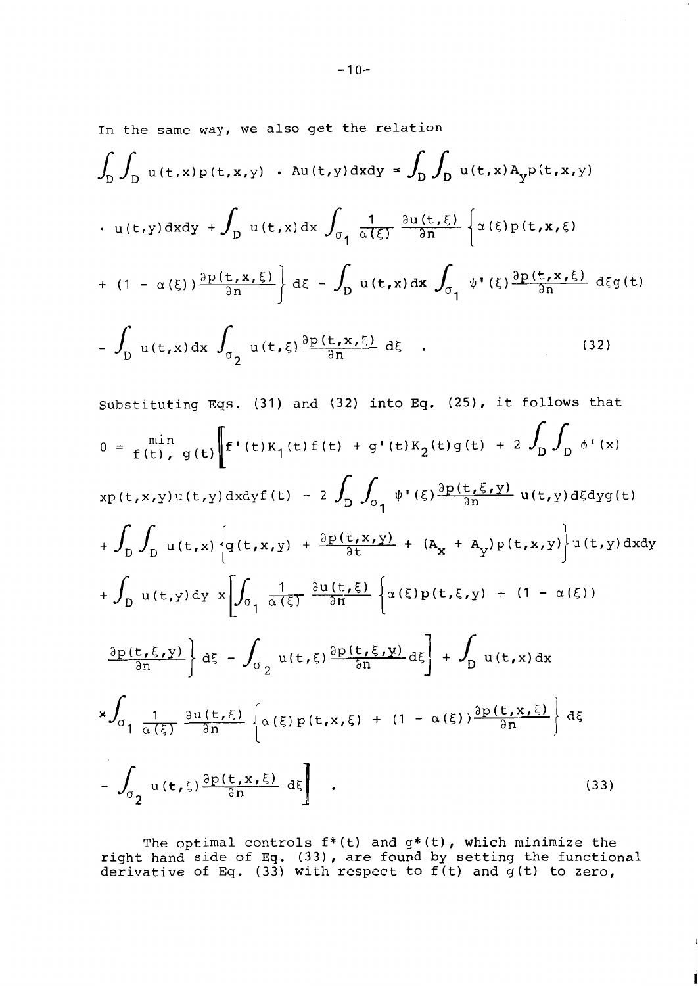In the same way, we also get the relation

$$
\int_{D} \int_{D} u(t,x)p(t,x,y) \cdot Au(t,y) dxdy = \int_{D} \int_{D} u(t,x)A_{y}p(t,x,y)
$$
  

$$
\cdot u(t,y) dxdy + \int_{D} u(t,x) dx \int_{\sigma_{1}} \frac{1}{\alpha(\xi)} \frac{\partial u(t,\xi)}{\partial n} \left\{ \alpha(\xi)p(t,x,\xi) + (1 - \alpha(\xi)) \frac{\partial p(t,x,\xi)}{\partial n} \right\} d\xi - \int_{D} u(t,x) dx \int_{\sigma_{1}} \psi'(\xi) \frac{\partial p(t,x,\xi)}{\partial n} d\xi g(t)
$$
  

$$
-\int_{D} u(t,x) dx \int_{\sigma_{2}} u(t,\xi) \frac{\partial p(t,x,\xi)}{\partial n} d\xi .
$$
(32)

Substituting Eqs. (31) and (32) into Eq. (25), it follows that  
\n
$$
0 = \lim_{f(t), g(t)} \left[ f'(t)K_1(t)f(t) + g'(t)K_2(t)g(t) + 2 \int_D \int_D \phi'(x) \right]
$$
\n
$$
x p(t, x, y) u(t, y) dx dy f(t) - 2 \int_D \int_{\sigma_1} \psi'(\xi) \frac{\partial p(t, \xi, y)}{\partial n} u(t, y) d\xi dy dt + \int_D \int_D u(t, x) \left[ g(t, x, y) + \frac{\partial p(t, x, y)}{\partial t} + (A_x + A_y) p(t, x, y) \right] u(t, y) dxdy
$$
\n
$$
+ \int_D u(t, y) dy \left[ \int_{\sigma_1} \frac{1}{\alpha(\xi)} \frac{\partial u(t, \xi)}{\partial n} \left[ \alpha(\xi) p(t, \xi, y) + (1 - \alpha(\xi)) \right] \right]
$$
\n
$$
\frac{\partial p(t, \xi, y)}{\partial n} \left[ d\xi - \int_{\sigma_2} u(t, \xi) \frac{\partial p(t, \xi, y)}{\partial n} d\xi \right] + \int_D u(t, x) dx
$$
\n
$$
x \int_{\sigma_1} \frac{1}{\alpha(\xi)} \frac{\partial u(t, \xi)}{\partial n} \left[ \alpha(\xi) p(t, x, \xi) + (1 - \alpha(\xi)) \frac{\partial p(t, x, \xi)}{\partial n} \right] d\xi
$$
\n
$$
- \int_{\sigma_2} u(t, \xi) \frac{\partial p(t, x, \xi)}{\partial n} d\xi
$$
\n(33)

The optimal controls f\*(t) and g\*(t), which minimize the right hand side of **Eq.** (33), are found by setting the functional derivative of **Eq.** (33) with respect to f (t) and g (t) to zero,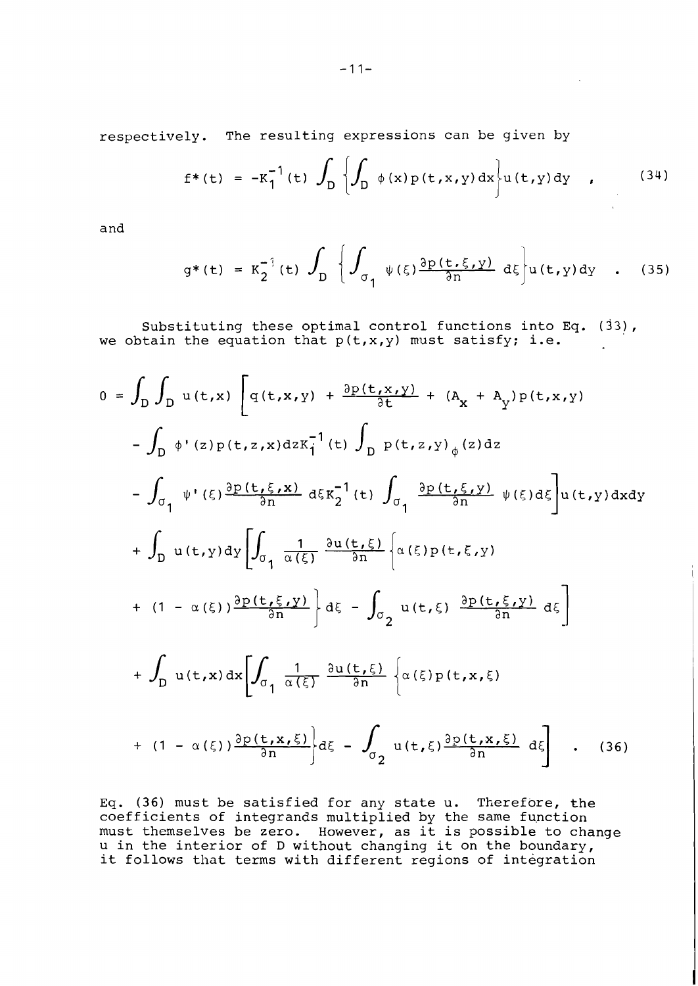respectively. The resulting expressions can be given by

$$
f^{*}(t) = -K_{1}^{-1}(t) \int_{D} \left\{ \int_{D} \phi(x) p(t, x, y) dx \right\} u(t, y) dy , \qquad (34)
$$

and

$$
g^*(t) = K_2^{-1}(t) \int_D \left\{ \int_{\sigma_1} \psi(\xi) \frac{\partial p(t, \xi, y)}{\partial n} d\xi \right\} u(t, y) dy \quad . \quad (35)
$$

Substituting these optimal control functions into Eq.  $(33)$ , we obtain the equation that  $p(t,x,y)$  must satisfy; i.e.

$$
0 = \int_{D} \int_{D} u(t,x) \left[ q(t,x,y) + \frac{\partial p(t,x,y)}{\partial t} + (A_{x} + A_{y}) p(t,x,y) \right]
$$
  
\n
$$
- \int_{D} \phi'(z) p(t,z,x) dz K_{1}^{-1}(t) \int_{D} p(t,z,y) \phi(z) dz
$$
  
\n
$$
- \int_{\sigma_{1}} \psi'( \xi) \frac{\partial p(t,\xi,x)}{\partial n} d\xi K_{2}^{-1}(t) \int_{\sigma_{1}} \frac{\partial p(t,\xi,y)}{\partial n} \psi(\xi) d\xi u(t,y) dxdy
$$
  
\n
$$
+ \int_{D} u(t,y) dy \left[ \int_{\sigma_{1}} \frac{1}{\alpha(\xi)} \frac{\partial u(t,\xi)}{\partial n} \left\{ \alpha(\xi) p(t,\xi,y) \right\} \right]
$$
  
\n
$$
+ (1 - \alpha(\xi)) \frac{\partial p(t,\xi,y)}{\partial n} \right] d\xi - \int_{\sigma_{2}} u(t,\xi) \frac{\partial p(t,\xi,y)}{\partial n} d\xi
$$
  
\n
$$
+ \int_{D} u(t,x) dx \left[ \int_{\sigma_{1}} \frac{1}{\alpha(\xi)} \frac{\partial u(t,\xi)}{\partial n} \left\{ \alpha(\xi) p(t,x,\xi) \right\}
$$
  
\n
$$
+ (1 - \alpha(\xi)) \frac{\partial p(t,x,\xi)}{\partial n} \right\} d\xi - \int_{\sigma_{2}} u(t,\xi) \frac{\partial p(t,x,\xi)}{\partial n} d\xi
$$
 (36)

Eq. (36) must be satisfied for any state u. Therefore, the coefficients of integrands multiplied by the same fupction must themselves be zero. However, as it is possible to change u in the interior of D without changing it on the boundary, it follows that terms with different regions of integration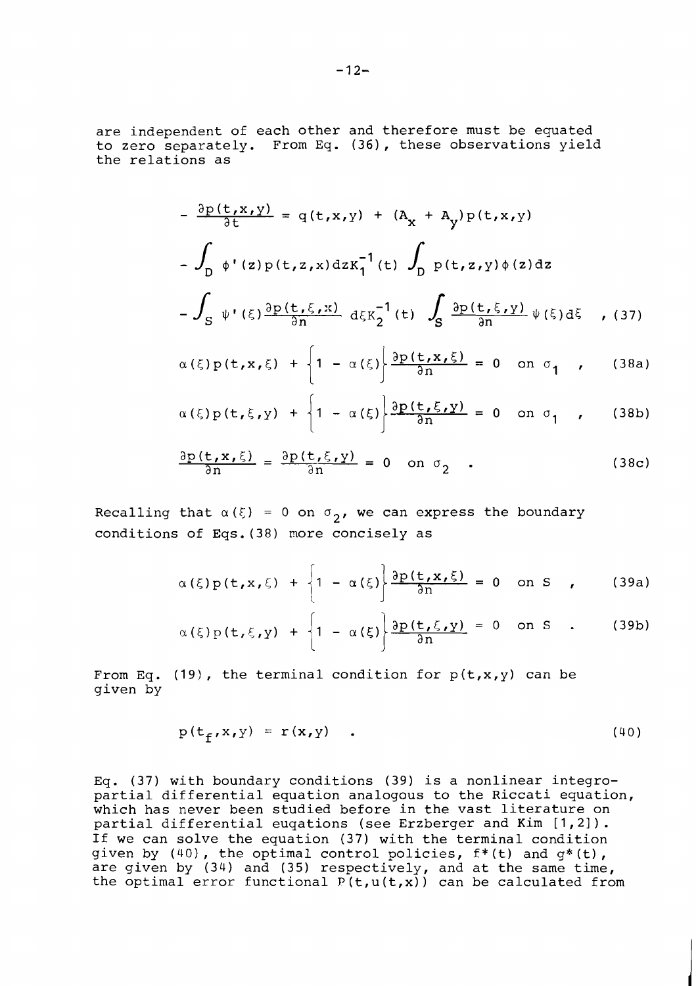are independent of each other and therefore must be equated to zero separately. From Eq. (36), these observations yield the relations as

$$
-\frac{\partial p(t,x,y)}{\partial t} = q(t,x,y) + (A_x + A_y) p(t,x,y)
$$
  

$$
-\int_D \phi'(z) p(t,z,x) dz K_1^{-1}(t) \int_D p(t,z,y) \phi(z) dz
$$
  

$$
-\int_S \psi'(\xi) \frac{\partial p(t,\xi,x)}{\partial n} d\xi K_2^{-1}(t) \int_S \frac{\partial p(t,\xi,y)}{\partial n} \psi(\xi) d\xi , (37)
$$

$$
\alpha(\xi)p(t,x,\xi) + \left\{1 - \alpha(\xi)\right\} \frac{\partial p(t,x,\xi)}{\partial n} = 0 \text{ on } \sigma_1 \quad , \quad (38a)
$$

$$
\alpha(\xi)p(t,\xi,y) + \left\{1 - \alpha(\xi)\right\} \frac{\partial p(t,\xi,y)}{\partial n} = 0 \text{ on } \sigma_1 \quad , \qquad (38b)
$$

$$
\frac{\partial p(t, x, \xi)}{\partial n} = \frac{\partial p(t, \xi, y)}{\partial n} = 0 \quad \text{on } \sigma_2 \quad .
$$
 (38c)

Recalling that  $\alpha(\xi) = 0$  on  $\sigma_{2}$ , we can express the boundary conditions of Eqs.(38) more concisely as

$$
\alpha(\xi)p(t,x,\xi) + \left\{1 - \alpha(\xi)\right\} \frac{\partial p(t,x,\xi)}{\partial n} = 0 \text{ on } S \quad , \qquad (39a)
$$

$$
\alpha(\xi)p(t,\xi,y) + \left\{1 - \alpha(\xi)\right\} \frac{\partial p(t,\xi,y)}{\partial n} = 0 \text{ on } S . \qquad (39b)
$$

From Eq. (19), the terminal condition for  $p(t, x, y)$  can be given by

$$
p(t_f, x, y) = r(x, y) \qquad (40)
$$

Eq. (37) with boundary conditions (39) is a nonlinear integropartial differential equation analogous to the Riccati equation, which has never been studied before in the vast literature on partial differential euqations (see Erzberger and Kim [1,21). If we can solve the equation (37) with the terminal condition given by (40), the optimal control policies,  $f^*(t)$  and  $g^*(t)$ , are given by (34) and (35) respectively, and at the same time, the optimal error functional  $P(t,u(t,x))$  can be calculated from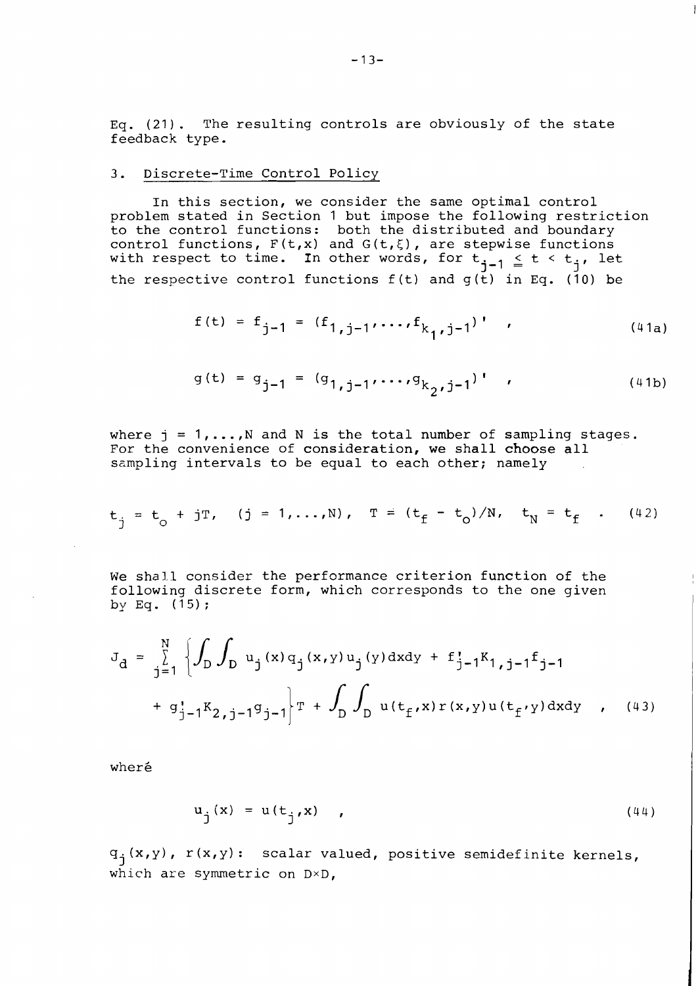Eq. (21). The resulting controls are obviously of the state feedback type.

#### 3. Discrete-Time Control Policy

In this section, we consider the same optimal control problem stated in Section 1 but impose the following restriction to the control functions: both the distributed and boundary control functions,  $F(t,x)$  and  $G(t,\xi)$ , are stepwise functions with respect to time. In other words, for  $t_{j-1} \leq t < t_j$ , let the respective control functions  $f(t)$  and  $g(t)$  in Eq. (10) be

$$
f(t) = f_{j-1} = (f_{1,j-1}, \ldots, f_{k_{1},j-1})'
$$
 (41a)

$$
g(t) = g_{j-1} = (g_{1,j-1}, \ldots, g_{k_2,j-1})
$$
 (41b)

where  $j = 1, \ldots, N$  and N is the total number of sampling stages. For the convenience of consideration, we shall choose all sampling intervals to be equal to each other; namely

$$
t_{\dot{1}} = t_{\circ} + jT
$$
,  $(j = 1,...,N)$ ,  $T = (t_{\dot{f}} - t_{\circ})/N$ ,  $t_{\dot{N}} = t_{\dot{f}}$ . (42)

We shall consider the performance criterion function of the following discrete form, which corresponds to the one given by Eq.  $(15)$ ;

$$
J_{d} = \sum_{j=1}^{N} \left\{ \int_{D} \int_{D} u_{j}(x) q_{j}(x, y) u_{j}(y) dxdy + f_{j-1}^{T} f_{1,j-1} f_{j-1} + g_{j-1}^{T} K_{2,j-1} g_{j-1} \right\} T + \int_{D} \int_{D} u(t_{f}^{*}(x) r(x, y) u(t_{f}^{*}(y)) dxdy , \quad (43)
$$

where

$$
u_{i}(x) = u(t_{i}(x)), \qquad (44)
$$

 $q_j(x,y)$ ,  $r(x,y)$ : scalar valued, positive semidefinite kernels, which are symmetric on D×D,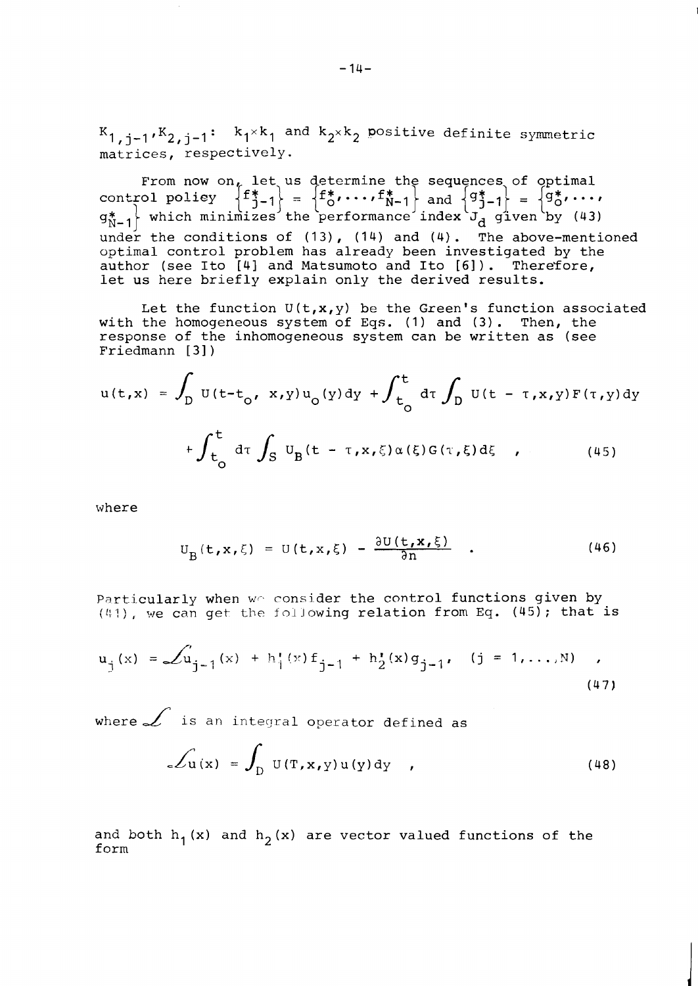$K_{1, i-1} K_{2, i-1}$ :  $k_1 \times k_1$  and  $k_2 \times k_2$  positive definite symmetric matrices, respectively.

From now on, let us determine the sequences of optimal control policy  $\left\{f_{j-1}^* \right\} = \left\{f_0^*, \ldots, f_{N-1}^* \right\}$  and  $\left\{g_{j-1}^* \right\} = \left\{g_0^*, \ldots, \right\}$  $g_{N-1}^*$  which minimizes the performance index  $J_d$  given by (43)  $\begin{bmatrix} 9N-1 \end{bmatrix}$  which minimizes the performance flues  $\begin{bmatrix} 1 & 0 \end{bmatrix}$  of  $\begin{bmatrix} 1 & 0 \end{bmatrix}$  and  $\begin{bmatrix} 4 & 0 \end{bmatrix}$ . The above-mentioned optimal control problem has already been investigated by the author (see Ito [41 and Matsumoto and Ito [61) . Therefore, let us here briefly explain only the derived results.

Let the function  $U(t,x,y)$  be the Green's function associated with the homogeneous system of Eqs. (1) and (3). Then, the response of the inhomogeneous system can be written as (see Friedmann [3])

$$
u(t,x) = \int_{D} U(t-t_0, x,y)u_0(y)dy + \int_{t_0}^{t} d\tau \int_{D} U(t-\tau, x,y)F(\tau, y)dy
$$
  
+ 
$$
\int_{t_0}^{t} d\tau \int_{S} U_{B}(t-\tau, x, \xi) \alpha(\xi)G(\tau, \xi) d\xi , \qquad (45)
$$

where

$$
U_{B}(t,x,\xi) = U(t,x,\xi) - \frac{\partial U(t,x,\xi)}{\partial n} . \qquad (46)
$$

Particularly when we consider the control functions given by  $(41)$ , we can get the following relation from Eq. (45); that is

$$
u_j(x) = \mathcal{L}u_{j-1}(x) + h'_1(x) f_{j-1} + h'_2(x) g_{j-1}, \quad (j = 1,..., N) ,
$$
\n(47)

where  $\angle$  is an integral operator defined as

$$
\mathcal{L}_{\mathbf{u}}(\mathbf{x}) = \int_{D} \mathbf{U}(\mathbf{T}, \mathbf{x}, \mathbf{y}) \mathbf{u}(\mathbf{y}) d\mathbf{y} \qquad (48)
$$

and both  $h_1(x)$  and  $h_2(x)$  are vector valued functions of the form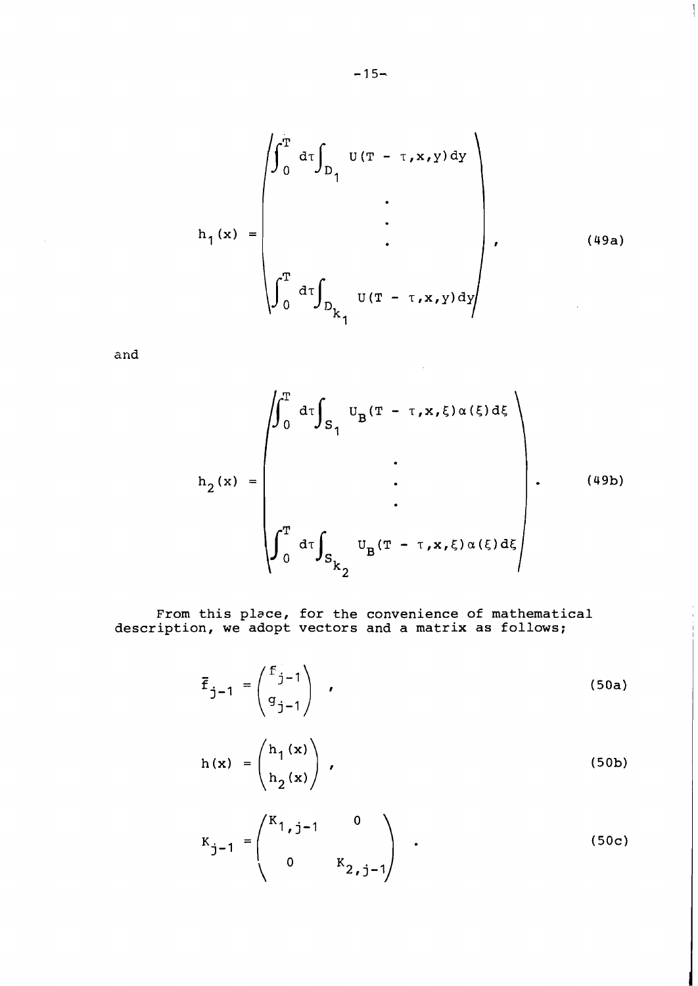$$
h_{1}(x) = \begin{pmatrix} \int_{0}^{T} d\tau \int_{D_{1}} U(T - \tau, x, y) dy \\ \vdots \\ \int_{0}^{T} d\tau \int_{D_{k_{1}}} U(T - \tau, x, y) dy \end{pmatrix}, \qquad (49a)
$$

 $\overline{\phantom{a}}$ 

**and** 

$$
h_{2}(x) = \begin{pmatrix} \int_{0}^{T} d\tau \int_{S_{1}} U_{B}(T - \tau, x, \xi) \alpha(\xi) d\xi \\ \vdots \\ \int_{0}^{T} d\tau \int_{S_{k_{2}}} U_{B}(T - \tau, x, \xi) \alpha(\xi) d\xi \end{pmatrix} .
$$
 (49b)

 $\mathcal{A}$ 

**From this place, for the convenience of mathematical description, we adopt vectors and a matrix as follows;** 

$$
\overline{f}_{j-1} = \begin{pmatrix} f_{j-1} \\ g_{j-1} \end{pmatrix} , \qquad (50a)
$$

$$
h(x) = \begin{pmatrix} h_1(x) \\ h_2(x) \end{pmatrix},
$$
 (50b)

$$
K_{j-1} = \begin{pmatrix} K_{1,j-1} & 0 \\ 0 & K_{2,j-1} \end{pmatrix}
$$
 (50c)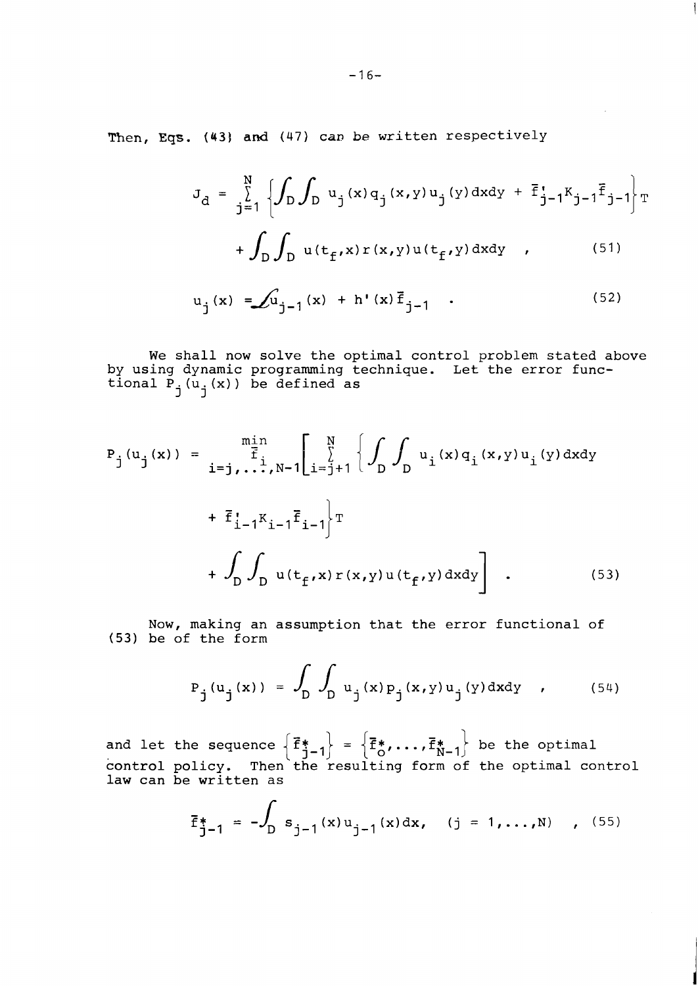Then, Eqs. (43) and (47) can be written respectively

$$
J_d = \sum_{j=1}^{N} \left\{ \int_D \int_D u_j(x) q_j(x, y) u_j(y) dx dy + \overline{f}_{j-1}^{t} K_{j-1} \overline{f}_{j-1} \right\} T
$$

$$
+ \int_{D} \int_{D} u(t_f, x) r(x, y) u(t_f, y) dx dy , \qquad (51)
$$

$$
u_j(x) = \int u_{j-1}(x) + h'(x) \vec{f}_{j-1}
$$
 (52)

We shall now solve the optimal control problem stated above by using dynamic programming technique. Let the error functional  $\overline{P}_j(\overline{u}_j(x))$  be defined as

$$
P_{j}(u_{j}(x)) = \prod_{i=j, \ldots, N-1}^{m \text{in}} \left[ \sum_{i=j+1}^{N} \left\{ \int_{D} u_{i}(x) q_{i}(x, y) u_{i}(y) \, dx dy + \vec{F}_{i-1}^{*} K_{i-1} \vec{F}_{i-1} \right\}^{T} + \int_{D} \int_{D} u(t_{f}^{*}(x) r(x, y) u(t_{f}^{*}(y)) \, dx dy \right] . \tag{53}
$$

Now, making an assumption that the error functional of (53) be of the form

$$
P_{j}(u_{j}(x)) = \int_{D} \int_{D} u_{j}(x) p_{j}(x, y) u_{j}(y) dxdy , \qquad (54)
$$

and let the sequence  $\left\{{\vec{\bf f}}_{\textbf{j}-1}^* \right\}$  =  $\left\{{\vec{\bf f}}_{\textbf{o}}^*,\ldots,{\vec{\bf f}}_{\textbf{N}-1}^* \right\}$  be the optimal control policy. Then the resulting form of the optimal control law can be written as

$$
\vec{f}_{j-1}^* = -\int_D s_{j-1}(x) u_{j-1}(x) dx
$$
, (j = 1,...,N), (55)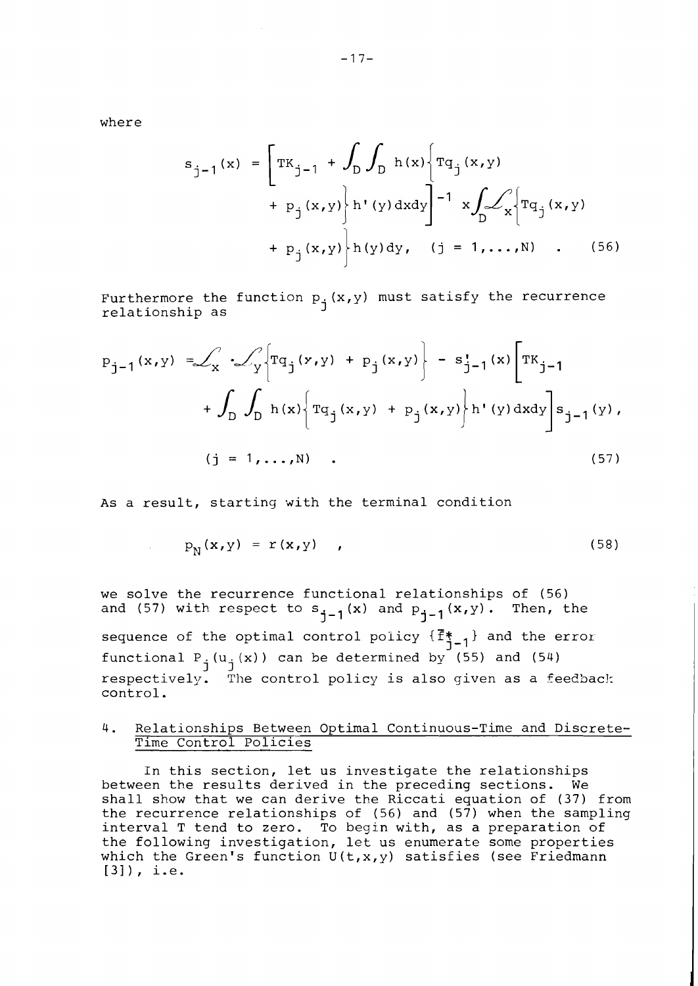where

 $\mathcal{A}^{\mathcal{A}}_{\mathcal{A}}$  ,  $\mathcal{A}^{\mathcal{A}}_{\mathcal{A}}$ 

$$
s_{j-1}(x) = \left[ T K_{j-1} + \int_{D} \int_{D} h(x) \left\{ T q_{j}(x, y) + p_{j}(x, y) \right\} h'(y) dx dy \right]^{-1} x \int_{D} \mathcal{L}_{X} \left\{ T q_{j}(x, y) + p_{j}(x, y) \right\} h(y) dy, \quad (j = 1, ..., N) \quad . \quad (56)
$$

Furthermore the function  $p_i(x,y)$  must satisfy the recurrence relationship as I

$$
P_{j-1}(x,y) = \int_{X} \int_{Y} \left\{ Tq_{j}(y,y) + P_{j}(x,y) \right\} - s_{j-1}^{*}(x) \left[ TK_{j-1} + \int_{D} \int_{D} h(x) \left\{ Tq_{j}(x,y) + P_{j}(x,y) \right\} h^{*}(y) dxdy \right\} s_{j-1}(y),
$$
  
(j = 1,...,N)

As a result, starting with the terminal condition

$$
p_N(x, y) = r(x, y) \qquad (58)
$$

we solve the recurrence functional relationships of (56) and (57) with respect to  $s_{j-1}(x)$  and  $p_{j-1}(x,y)$ . Then, the

sequence of the optimal control policy  $\{\vec{F}_{1-1}^*\}$  and the error functional P<sub>j</sub>(u<sub>j</sub>(x)) can be determined by (55) and (54) respectively. The control policy is also given as a feedback control.

## 4. Relationships Between Optimal Continuous-Time and Discrete-Time Control Policies

In this section, let us investigate the relationships between the results derived in the preceding sections. We shall show that we can derive the Riccati equation of (37) from the recurrence relationships of (56) and (57) when the sampling interval T tend to zero. To begin with, as a preparation of the following investigation, let us enumerate some properties which the Green's function  $U(t, x, y)$  satisfies (see Friedmann [31), i.e.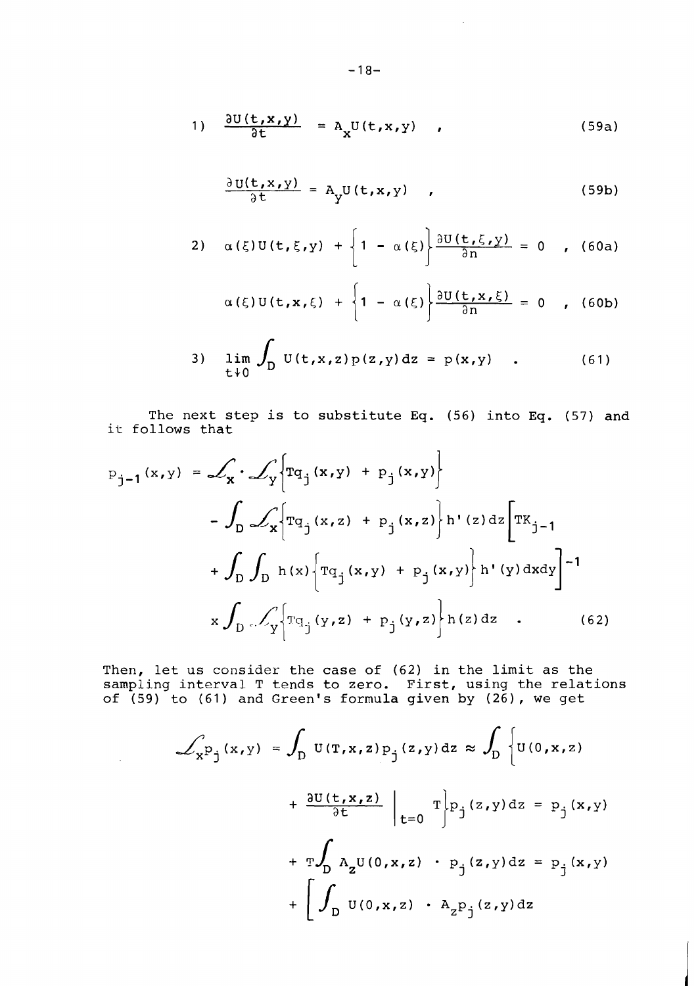$$
1) \quad \frac{\partial U(t,x,y)}{\partial t} = A_x U(t,x,y) \quad , \tag{59a}
$$

$$
\frac{\partial U(t, x, y)}{\partial t} = A_y U(t, x, y) , \qquad (59b)
$$

 $\sim 10$ 

2) 
$$
\alpha(\xi)U(t,\xi,y) + \left\{1 - \alpha(\xi)\right\} \frac{\partial U(t,\xi,y)}{\partial n} = 0
$$
, (60a)

$$
\alpha(\xi)U(t,x,\xi) + \left\{1 - \alpha(\xi)\right\} \frac{\partial U(t,x,\xi)}{\partial n} = 0 \quad , \quad \text{(60b)}
$$

3) 
$$
\lim_{t \to 0} \int_{D} U(t, x, z) p(z, y) dz = p(x, y)
$$
 (61)

The next step is to substitute Eq. (56) into Eq. (57) and it follows that

$$
P_{j-1}(x,y) = \mathcal{L}_x \cdot \mathcal{L}_y \Big\{ T q_j(x,y) + P_j(x,y) \Big\} - \int_D \mathcal{L}_x \Big\{ T q_j(x,z) + P_j(x,z) \Big\} h'(z) dz \Big[ T K_{j-1} + \int_D \int_D h(x) \Big\{ T q_j(x,y) + P_j(x,y) \Big\} h'(y) dxdy \Big]^{-1} x \int_D \mathcal{L}_y \Big\{ T q_j(y,z) + P_j(y,z) \Big\} h(z) dz
$$
 (62)

Then, let us consider the case of  $(62)$  in the limit as the ampling interval T tends to zero. First, using the relations of (59) to (61) and Green's formula given by (26), we get

 $\mathcal{L}_{\text{max}}$  and  $\mathcal{L}_{\text{max}}$ 

$$
\int_{x} p_{j}(x,y) = \int_{D} U(T,x,z) p_{j}(z,y) dz \approx \int_{D} \left\{ U(0,x,z) + \frac{\partial U(t,x,z)}{\partial t} \Big|_{t=0} T \right\} p_{j}(z,y) dz = p_{j}(x,y)
$$

$$
+ T \int_{D} A_{z} U(0,x,z) \cdot p_{j}(z,y) dz = p_{j}(x,y)
$$

$$
+ \left[ \int_{D} U(0,x,z) \cdot A_{z} p_{j}(z,y) dz \right]
$$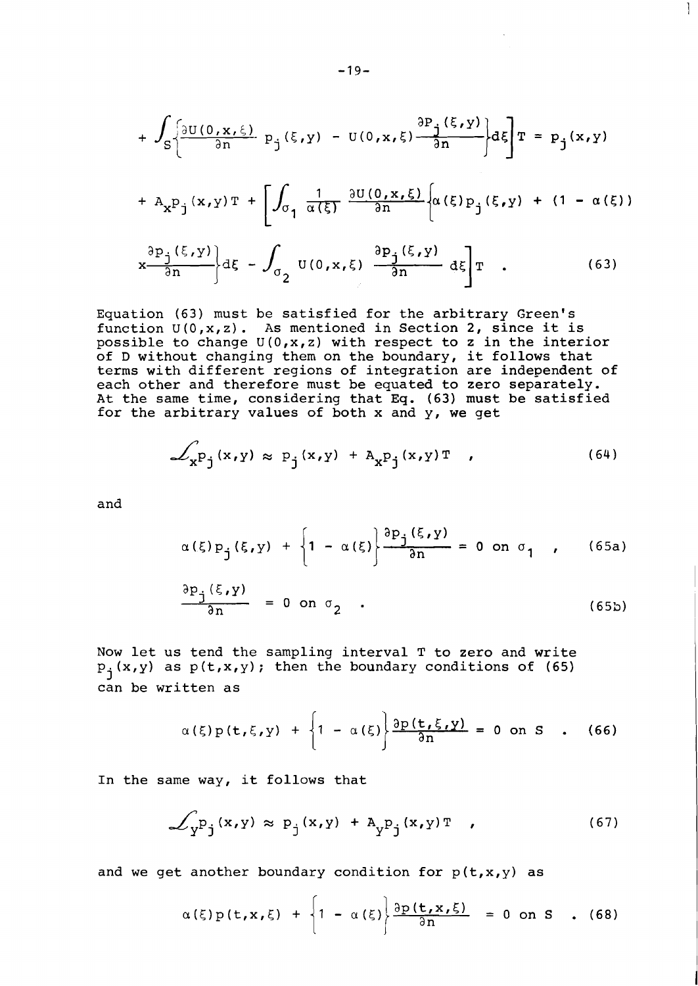$$
+\int_{S}\left\{\frac{\partial U(0,x,\xi)}{\partial n}p_{j}(\xi,y)-U(0,x,\xi)\frac{\partial P_{j}(\xi,y)}{\partial n}\right\}d\xi\right]T=p_{j}(x,y)
$$

 $\mathbf{I}$ 

$$
+ A_{\mathbf{x}} \mathbf{p}_{\mathbf{j}}(\mathbf{x}, \mathbf{y}) \mathbf{T} + \left[ \int_{\sigma_{\mathbf{1}}} \frac{1}{\alpha(\xi)} \frac{\partial U(0, \mathbf{x}, \xi)}{\partial n} \left[ \alpha(\xi) \mathbf{p}_{\mathbf{j}}(\xi, \mathbf{y}) + (1 - \alpha(\xi)) \right] \right]
$$

$$
\left[\frac{\partial P_j(\xi, y)}{\partial n}\right] d\xi - \int_{\sigma_2} U(0, x, \xi) \left[\frac{\partial P_j(\xi, y)}{\partial n}\right] d\xi \left[T\right]. \tag{63}
$$

Equation (63) must be satisfied for the arbitrary Green's function  $U(0, x, z)$ . As mentioned in Section 2, since it is possible to change U(O,x,z) with respect to **z** in the interior of D without changing them on the boundary, it follows that terms with different regions of integration are independent of each other and therefore must be equated to zero separately. At the same time, considering that Eq. (63) must be satisfied for the arbitrary values of both x and y, we get

$$
\mathcal{L}_{\mathbf{x}^{\mathbf{p}}\mathbf{j}}(\mathbf{x},\mathbf{y}) \approx \mathbf{p}_{\mathbf{j}}(\mathbf{x},\mathbf{y}) + \mathbf{A}_{\mathbf{x}^{\mathbf{p}}\mathbf{j}}(\mathbf{x},\mathbf{y})\mathbf{T} \tag{64}
$$

and

$$
\alpha(\xi) p_{j}(\xi, y) + \left\{1 - \alpha(\xi)\right\} \frac{\partial p_{j}(\xi, y)}{\partial n} = 0 \text{ on } \sigma_{1} \quad (65a)
$$
  

$$
\frac{\partial p_{j}(\xi, y)}{\partial n} = 0 \text{ on } \sigma_{2} \quad .
$$
 (65b)

Now let us tend the sampling interval T to zero and write  $p_j(x,y)$  as  $p(t,x,y)$ ; then the boundary conditions of (65) can be written as

$$
\alpha(\xi)p(t,\xi,y) + \left\{1 - \alpha(\xi)\right\} \frac{\partial p(t,\xi,y)}{\partial n} = 0 \text{ on } S \quad . \quad (66)
$$

In the same way, it follows that

$$
\mathcal{L}_{\mathbf{y}} \mathbf{p}_{\mathbf{j}}(\mathbf{x}, \mathbf{y}) \approx \mathbf{p}_{\mathbf{j}}(\mathbf{x}, \mathbf{y}) + \mathbf{A}_{\mathbf{y}} \mathbf{p}_{\mathbf{j}}(\mathbf{x}, \mathbf{y}) \mathbf{T} \quad , \tag{67}
$$

and we get another boundary condition for  $p(t, x, y)$  as

$$
\alpha(\xi)p(t,x,\xi) + \left\{1 - \alpha(\xi)\right\} \frac{\partial p(t,x,\xi)}{\partial n} = 0 \text{ on } S \quad . \quad (68)
$$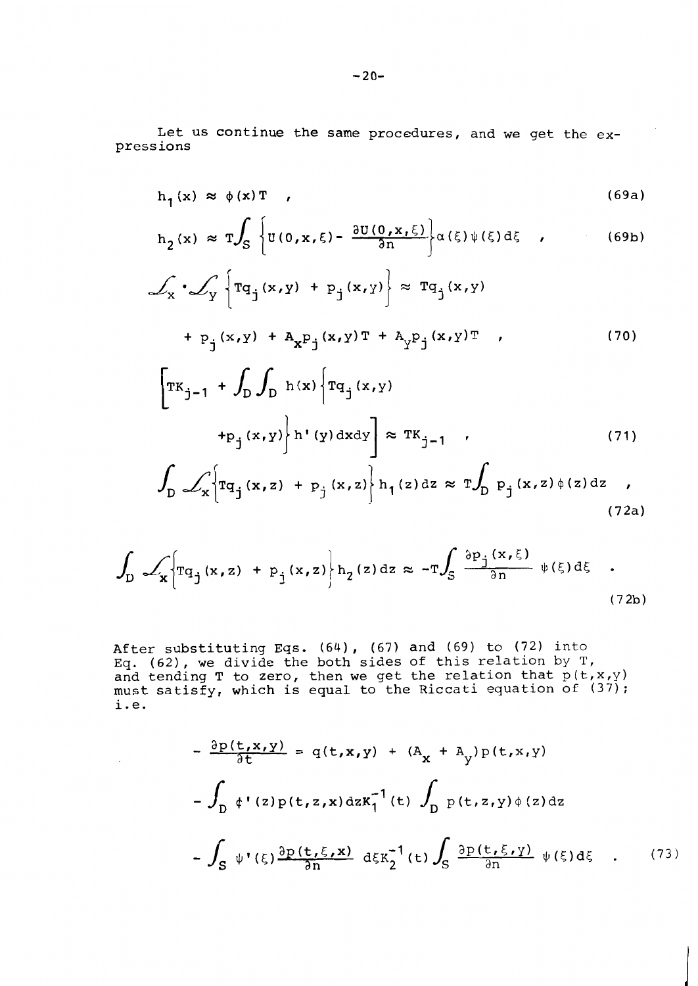Let us continue the same procedures, and we get the expressions

$$
h_1(x) \approx \phi(x) T \t\t(69a)
$$

$$
h_2(x) \approx T \int_S \left\{ U(0, x, \xi) - \frac{\partial U(0, x, \xi)}{\partial n} \right\} \alpha(\xi) \psi(\xi) d\xi \quad , \tag{69b}
$$

$$
\mathcal{L}_{\mathbf{x}} \cdot \mathcal{L}_{\mathbf{y}} \left\{ \mathbf{T} \mathbf{q}_{j} (\mathbf{x}, \mathbf{y}) + \mathbf{p}_{j} (\mathbf{x}, \mathbf{y}) \right\} \approx \mathbf{T} \mathbf{q}_{j} (\mathbf{x}, \mathbf{y})
$$
  
+  $\mathbf{p}_{j} (\mathbf{x}, \mathbf{y}) + \mathbf{A}_{\mathbf{x}} \mathbf{p}_{j} (\mathbf{x}, \mathbf{y}) \mathbf{T} + \mathbf{A}_{\mathbf{y}} \mathbf{p}_{j} (\mathbf{x}, \mathbf{y}) \mathbf{T}$  (70)

$$
\left[\mathbf{T}\mathbf{K}_{\mathbf{j}-1} + \int_{\mathbf{D}} \int_{\mathbf{D}} \mathbf{h}(\mathbf{x}) \left\{ \mathbf{T}\mathbf{q}_{\mathbf{j}}(\mathbf{x}, \mathbf{y}) \right\} \mathbf{r}(\mathbf{y}) d\mathbf{x} d\mathbf{y} \right] \approx \mathbf{T}\mathbf{K}_{\mathbf{j}-1} \quad (71)
$$

$$
\int_{D} \mathcal{L}_{\mathbf{x}} \left\{ \mathrm{rq}_{j}(\mathbf{x}, z) + \mathrm{p}_{j}(\mathbf{x}, z) \right\} \mathrm{h}_{1}(z) \, \mathrm{d}z \approx \mathrm{T} \int_{D} \mathrm{p}_{j}(\mathbf{x}, z) \, \phi(z) \, \mathrm{d}z \quad , \tag{72a}
$$

$$
\int_{D} \mathcal{L}_{\mathbf{x}} \Biggl\{ \text{Tr}_{q_{j}}(\mathbf{x}, \mathbf{z}) + \text{p}_{j}(\mathbf{x}, \mathbf{z}) \Biggr\} \text{h}_{2}(\mathbf{z}) \, \text{d}\mathbf{z} \approx -\text{T} \int_{S} \frac{\partial \text{p}_{j}(\mathbf{x}, \xi)}{\partial n} \psi(\xi) \, \text{d}\xi \quad . \tag{72b}
$$

After substituting Eqs. (64), (67) and (69) to (72) into Eq. (62), we divide the both sides of this relation by T, and tending T to zero, then we get the relation that  $p(t, x, y)$ must satisfy, which is equal to the Riccati equation of (37); i.e.

 $\sim$ 

$$
-\frac{\partial p(t, x, y)}{\partial t} = q(t, x, y) + (A_x + A_y) p(t, x, y)
$$
  

$$
-\int_D \phi'(z) p(t, z, x) dz K_1^{-1}(t) \int_D p(t, z, y) \phi(z) dz
$$
  

$$
-\int_S \psi'(z) \frac{\partial p(t, \xi, x)}{\partial n} d\xi K_2^{-1}(t) \int_S \frac{\partial p(t, \xi, y)}{\partial n} \psi(\xi) d\xi . (73)
$$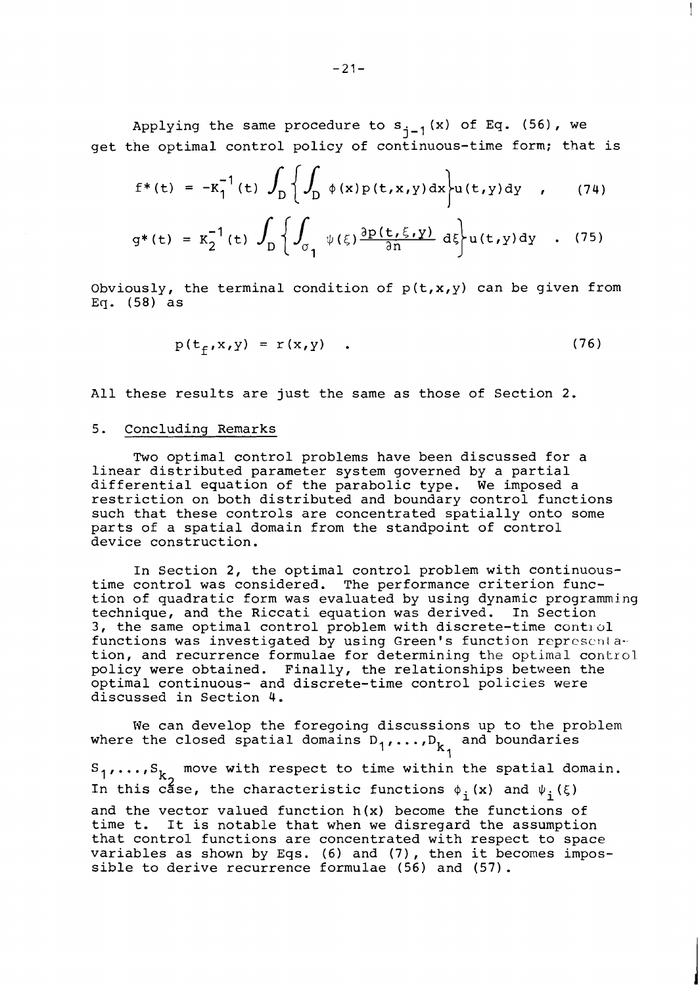Applying the same procedure to  $s_{j-1}(x)$  of Eq. (56), we get the optimal control policy of continuous-time form; that is

$$
f^{*}(t) = -K_{1}^{-1}(t) \int_{D} \left\{ \int_{D} \phi(x) p(t, x, y) dx \right\} u(t, y) dy , \qquad (74)
$$

$$
g^*(t) = K_2^{-1}(t) \int_D \left\{ \int_{\sigma_1} \psi(\xi) \frac{\partial p(t,\xi,y)}{\partial n} d\xi \right\} u(t,y) dy \quad . \quad (75)
$$

Obviously, the terminal condition of  $p(t, x, y)$  can be given from Eq. (58) as

$$
p(t_f, x, y) = r(x, y) \quad . \tag{76}
$$

All these results are just the same as those of Section 2.

#### 5. Concluding Remarks

Two optimal control problems have been discussed for a linear distributed parameter system governed by a partial differential equation of the parabolic type. We imposed a restriction on both distributed and boundary control functions such that these controls are concentrated spatially onto some parts of a spatial domain from the standpoint of control device construction.

In Section 2, the optimal control problem with continuoustime control was considered. The performance criterion function of quadratic form was evaluated by using dynamic programming technique, and the Riccati equation was derived. In Section 3, the same optimal control problem with discrete-time control functions was investigated by using Green's function representation, and recurrence formulae for determining the optimal control policy were obtained. Finally, the relationships between the optimal continuous- and discrete-time control policies were discussed in Section 4.

We can develop the foregoing discussions up to the problem where the closed spatial domains  $D_1, \ldots, D_{k_1}$  and boundaries

 $S_1, \ldots, S_{k_2}$  move with respect to time within the spatial domain. In this case, the characteristic functions  $\phi_i(x)$  and  $\psi_i(\xi)$ and the vector valued function h(x) become the functions of time t. It is notable that when we disregard the assumption that control functions are concentrated with respect to space variables as shown by Eqs. (6) and (7), then it becomes impossible to derive recurrence formulae (56) and (57).

 $\mathbf{I}$